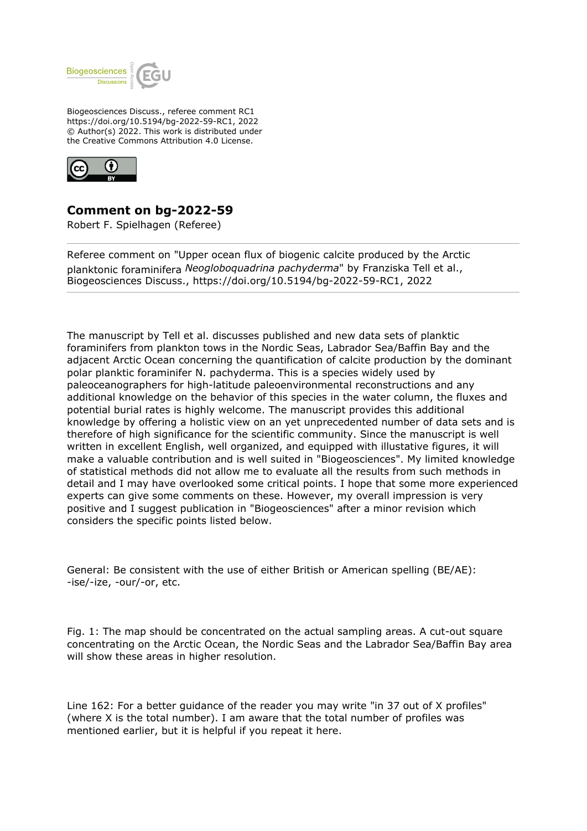

Biogeosciences Discuss., referee comment RC1 https://doi.org/10.5194/bg-2022-59-RC1, 2022 © Author(s) 2022. This work is distributed under the Creative Commons Attribution 4.0 License.



## **Comment on bg-2022-59**

Robert F. Spielhagen (Referee)

Referee comment on "Upper ocean flux of biogenic calcite produced by the Arctic planktonic foraminifera *Neogloboquadrina pachyderma*" by Franziska Tell et al., Biogeosciences Discuss., https://doi.org/10.5194/bg-2022-59-RC1, 2022

The manuscript by Tell et al. discusses published and new data sets of planktic foraminifers from plankton tows in the Nordic Seas, Labrador Sea/Baffin Bay and the adjacent Arctic Ocean concerning the quantification of calcite production by the dominant polar planktic foraminifer N. pachyderma. This is a species widely used by paleoceanographers for high-latitude paleoenvironmental reconstructions and any additional knowledge on the behavior of this species in the water column, the fluxes and potential burial rates is highly welcome. The manuscript provides this additional knowledge by offering a holistic view on an yet unprecedented number of data sets and is therefore of high significance for the scientific community. Since the manuscript is well written in excellent English, well organized, and equipped with illustative figures, it will make a valuable contribution and is well suited in "Biogeosciences". My limited knowledge of statistical methods did not allow me to evaluate all the results from such methods in detail and I may have overlooked some critical points. I hope that some more experienced experts can give some comments on these. However, my overall impression is very positive and I suggest publication in "Biogeosciences" after a minor revision which considers the specific points listed below.

General: Be consistent with the use of either British or American spelling (BE/AE): -ise/-ize, -our/-or, etc.

Fig. 1: The map should be concentrated on the actual sampling areas. A cut-out square concentrating on the Arctic Ocean, the Nordic Seas and the Labrador Sea/Baffin Bay area will show these areas in higher resolution.

Line 162: For a better guidance of the reader you may write "in 37 out of X profiles" (where X is the total number). I am aware that the total number of profiles was mentioned earlier, but it is helpful if you repeat it here.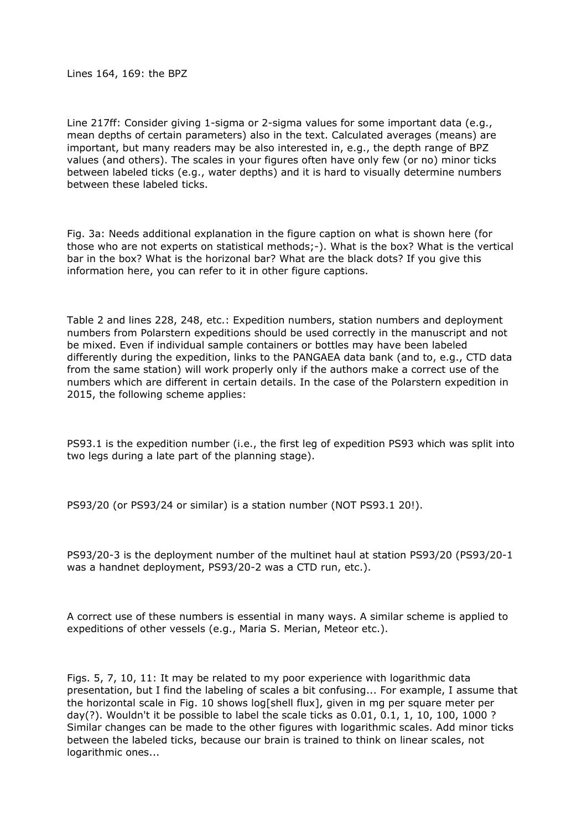Lines 164, 169: the BPZ

Line 217ff: Consider giving 1-sigma or 2-sigma values for some important data (e.g., mean depths of certain parameters) also in the text. Calculated averages (means) are important, but many readers may be also interested in, e.g., the depth range of BPZ values (and others). The scales in your figures often have only few (or no) minor ticks between labeled ticks (e.g., water depths) and it is hard to visually determine numbers between these labeled ticks.

Fig. 3a: Needs additional explanation in the figure caption on what is shown here (for those who are not experts on statistical methods;-). What is the box? What is the vertical bar in the box? What is the horizonal bar? What are the black dots? If you give this information here, you can refer to it in other figure captions.

Table 2 and lines 228, 248, etc.: Expedition numbers, station numbers and deployment numbers from Polarstern expeditions should be used correctly in the manuscript and not be mixed. Even if individual sample containers or bottles may have been labeled differently during the expedition, links to the PANGAEA data bank (and to, e.g., CTD data from the same station) will work properly only if the authors make a correct use of the numbers which are different in certain details. In the case of the Polarstern expedition in 2015, the following scheme applies:

PS93.1 is the expedition number (i.e., the first leg of expedition PS93 which was split into two legs during a late part of the planning stage).

PS93/20 (or PS93/24 or similar) is a station number (NOT PS93.1 20!).

PS93/20-3 is the deployment number of the multinet haul at station PS93/20 (PS93/20-1 was a handnet deployment, PS93/20-2 was a CTD run, etc.).

A correct use of these numbers is essential in many ways. A similar scheme is applied to expeditions of other vessels (e.g., Maria S. Merian, Meteor etc.).

Figs. 5, 7, 10, 11: It may be related to my poor experience with logarithmic data presentation, but I find the labeling of scales a bit confusing... For example, I assume that the horizontal scale in Fig. 10 shows log[shell flux], given in mg per square meter per day(?). Wouldn't it be possible to label the scale ticks as 0.01, 0.1, 1, 10, 100, 1000 ? Similar changes can be made to the other figures with logarithmic scales. Add minor ticks between the labeled ticks, because our brain is trained to think on linear scales, not logarithmic ones...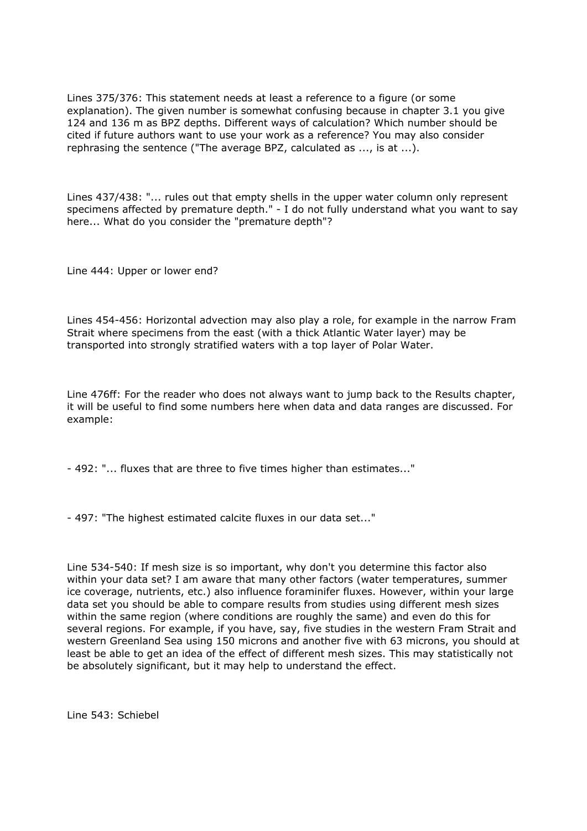Lines 375/376: This statement needs at least a reference to a figure (or some explanation). The given number is somewhat confusing because in chapter 3.1 you give 124 and 136 m as BPZ depths. Different ways of calculation? Which number should be cited if future authors want to use your work as a reference? You may also consider rephrasing the sentence ("The average BPZ, calculated as ..., is at ...).

Lines 437/438: "... rules out that empty shells in the upper water column only represent specimens affected by premature depth." - I do not fully understand what you want to say here... What do you consider the "premature depth"?

Line 444: Upper or lower end?

Lines 454-456: Horizontal advection may also play a role, for example in the narrow Fram Strait where specimens from the east (with a thick Atlantic Water layer) may be transported into strongly stratified waters with a top layer of Polar Water.

Line 476ff: For the reader who does not always want to jump back to the Results chapter, it will be useful to find some numbers here when data and data ranges are discussed. For example:

- 492: "... fluxes that are three to five times higher than estimates..."

- 497: "The highest estimated calcite fluxes in our data set..."

Line 534-540: If mesh size is so important, why don't you determine this factor also within your data set? I am aware that many other factors (water temperatures, summer ice coverage, nutrients, etc.) also influence foraminifer fluxes. However, within your large data set you should be able to compare results from studies using different mesh sizes within the same region (where conditions are roughly the same) and even do this for several regions. For example, if you have, say, five studies in the western Fram Strait and western Greenland Sea using 150 microns and another five with 63 microns, you should at least be able to get an idea of the effect of different mesh sizes. This may statistically not be absolutely significant, but it may help to understand the effect.

Line 543: Schiebel